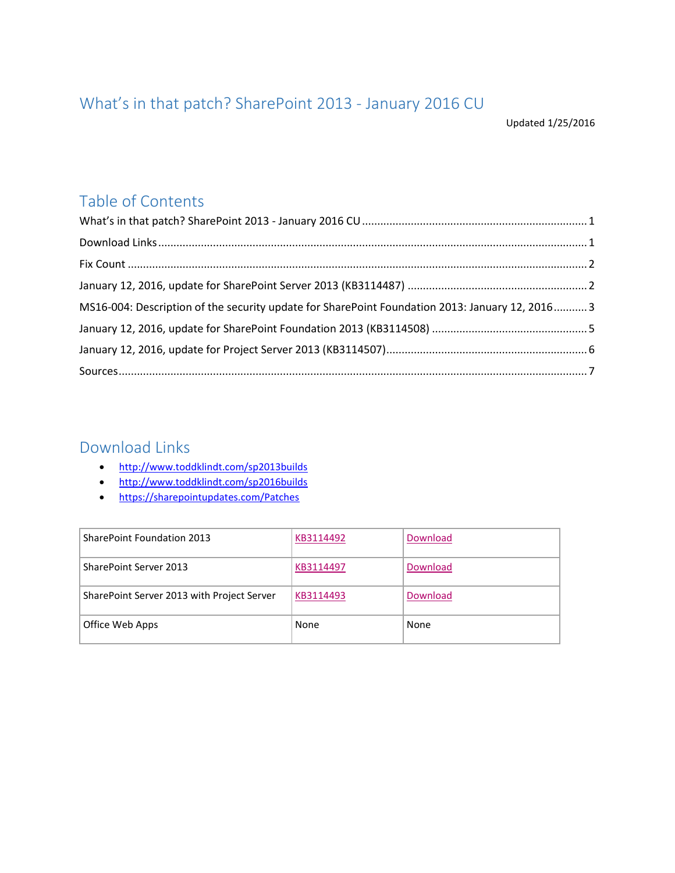# <span id="page-0-0"></span>What's in that patch? SharePoint 2013 - January 2016 CU

Updated 1/25/2016

## Table of Contents

| MS16-004: Description of the security update for SharePoint Foundation 2013: January 12, 2016 3 |  |
|-------------------------------------------------------------------------------------------------|--|
|                                                                                                 |  |
|                                                                                                 |  |
|                                                                                                 |  |

### <span id="page-0-1"></span>Download Links

- <http://www.toddklindt.com/sp2013builds>
- <http://www.toddklindt.com/sp2016builds>
- <https://sharepointupdates.com/Patches>

| SharePoint Foundation 2013                 | KB3114492 | Download |
|--------------------------------------------|-----------|----------|
| SharePoint Server 2013                     | KB3114497 | Download |
| SharePoint Server 2013 with Project Server | KB3114493 | Download |
| Office Web Apps                            | None      | None     |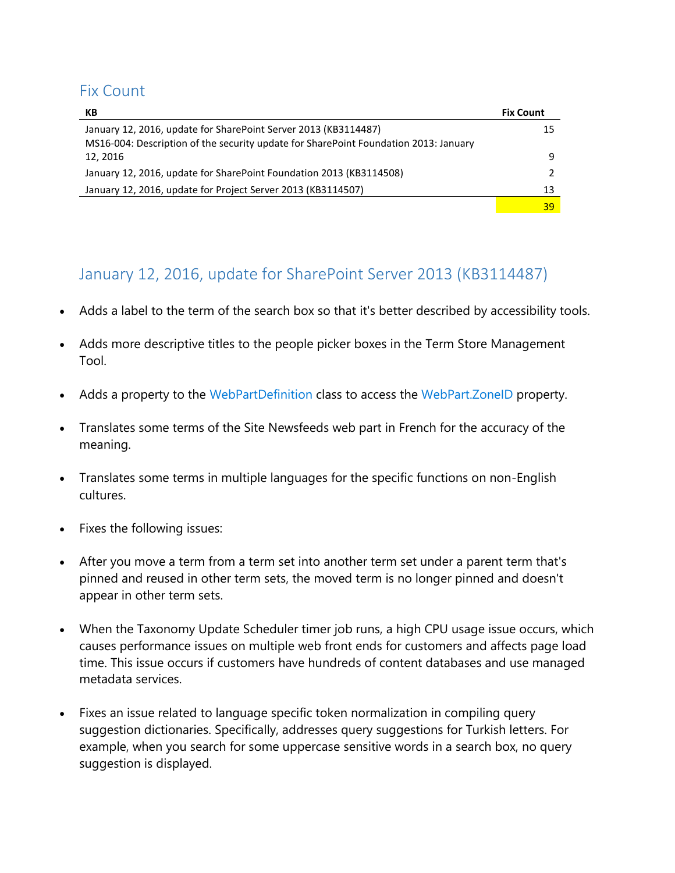### <span id="page-1-0"></span>Fix Count

| КB                                                                                   | <b>Fix Count</b> |
|--------------------------------------------------------------------------------------|------------------|
| January 12, 2016, update for SharePoint Server 2013 (KB3114487)                      | 15               |
| MS16-004: Description of the security update for SharePoint Foundation 2013: January |                  |
| 12.2016                                                                              | q                |
| January 12, 2016, update for SharePoint Foundation 2013 (KB3114508)                  |                  |
| January 12, 2016, update for Project Server 2013 (KB3114507)                         | 13               |
|                                                                                      | 39               |

## <span id="page-1-1"></span>January 12, 2016, update for SharePoint Server 2013 (KB3114487)

- Adds a label to the term of the search box so that it's better described by accessibility tools.
- Adds more descriptive titles to the people picker boxes in the Term Store Management Tool.
- Adds a property to the [WebPartDefinition](https://msdn.microsoft.com/en-us/library/office/microsoft.sharepoint.client.webparts.webpartdefinition.aspx) class to access the WebPart. ZoneID property.
- Translates some terms of the Site Newsfeeds web part in French for the accuracy of the meaning.
- Translates some terms in multiple languages for the specific functions on non-English cultures.
- Fixes the following issues:
- After you move a term from a term set into another term set under a parent term that's pinned and reused in other term sets, the moved term is no longer pinned and doesn't appear in other term sets.
- When the Taxonomy Update Scheduler timer job runs, a high CPU usage issue occurs, which causes performance issues on multiple web front ends for customers and affects page load time. This issue occurs if customers have hundreds of content databases and use managed metadata services.
- Fixes an issue related to language specific token normalization in compiling query suggestion dictionaries. Specifically, addresses query suggestions for Turkish letters. For example, when you search for some uppercase sensitive words in a search box, no query suggestion is displayed.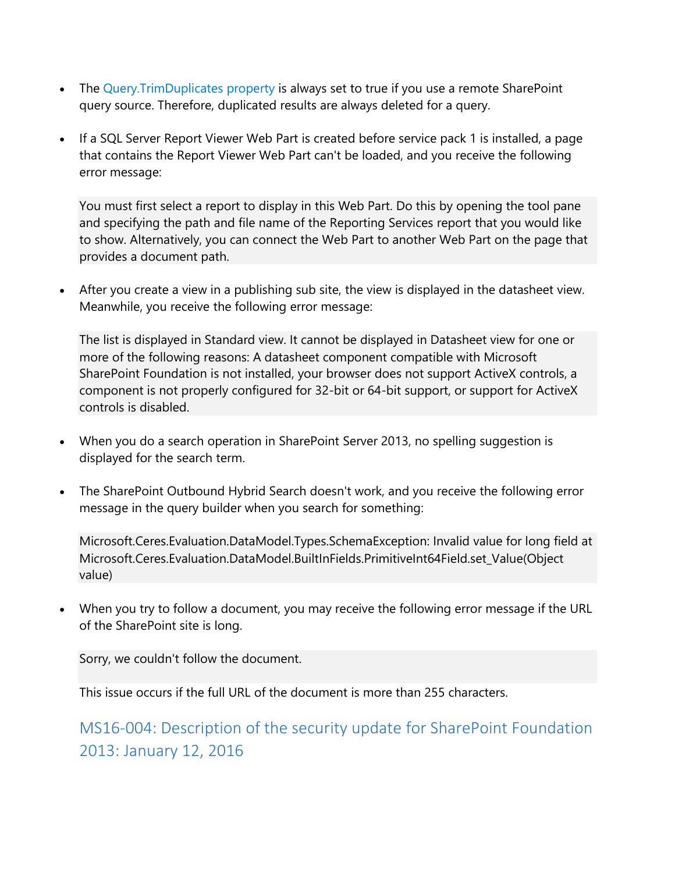- The [Query.TrimDuplicates property](https://msdn.microsoft.com/EN-US/library/office/microsoft.office.server.search.query.query.trimduplicates.aspx) is always set to true if you use a remote SharePoint query source. Therefore, duplicated results are always deleted for a query.
- If a SQL Server Report Viewer Web Part is created before service pack 1 is installed, a page that contains the Report Viewer Web Part can't be loaded, and you receive the following error message:

You must first select a report to display in this Web Part. Do this by opening the tool pane and specifying the path and file name of the Reporting Services report that you would like to show. Alternatively, you can connect the Web Part to another Web Part on the page that provides a document path.

 After you create a view in a publishing sub site, the view is displayed in the datasheet view. Meanwhile, you receive the following error message:

The list is displayed in Standard view. It cannot be displayed in Datasheet view for one or more of the following reasons: A datasheet component compatible with Microsoft SharePoint Foundation is not installed, your browser does not support ActiveX controls, a component is not properly configured for 32-bit or 64-bit support, or support for ActiveX controls is disabled.

- When you do a search operation in SharePoint Server 2013, no spelling suggestion is displayed for the search term.
- The SharePoint Outbound Hybrid Search doesn't work, and you receive the following error message in the query builder when you search for something:

Microsoft.Ceres.Evaluation.DataModel.Types.SchemaException: Invalid value for long field at Microsoft.Ceres.Evaluation.DataModel.BuiltInFields.PrimitiveInt64Field.set\_Value(Object value)

 When you try to follow a document, you may receive the following error message if the URL of the SharePoint site is long.

Sorry, we couldn't follow the document.

This issue occurs if the full URL of the document is more than 255 characters.

<span id="page-2-0"></span>MS16-004: Description of the security update for SharePoint Foundation 2013: January 12, 2016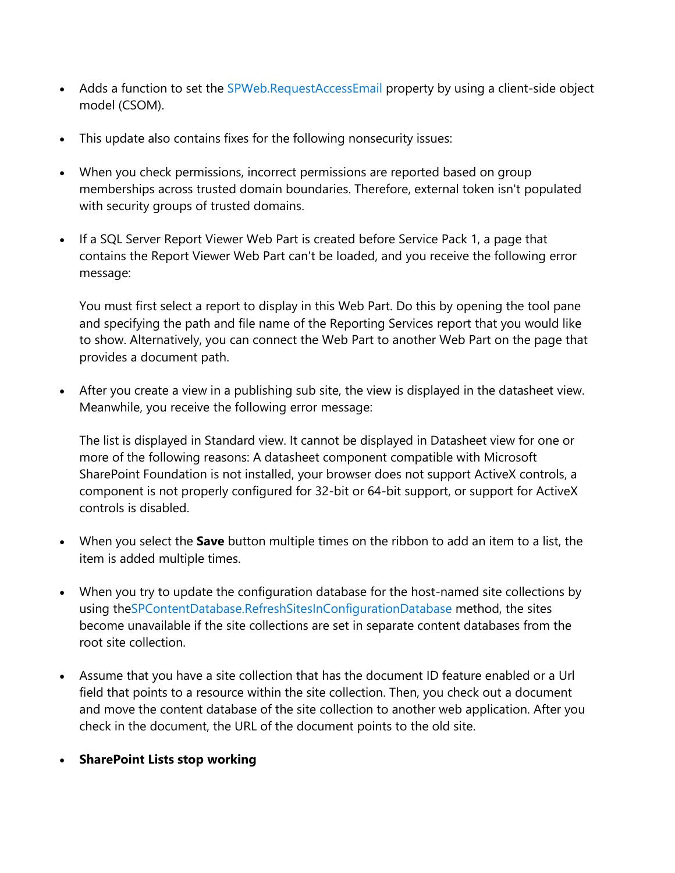- Adds a function to set the [SPWeb.RequestAccessEmail](https://msdn.microsoft.com/EN-US/library/microsoft.sharepoint.spweb.requestaccessemail.aspx) property by using a client-side object model (CSOM).
- This update also contains fixes for the following nonsecurity issues:
- When you check permissions, incorrect permissions are reported based on group memberships across trusted domain boundaries. Therefore, external token isn't populated with security groups of trusted domains.
- If a SQL Server Report Viewer Web Part is created before Service Pack 1, a page that contains the Report Viewer Web Part can't be loaded, and you receive the following error message:

You must first select a report to display in this Web Part. Do this by opening the tool pane and specifying the path and file name of the Reporting Services report that you would like to show. Alternatively, you can connect the Web Part to another Web Part on the page that provides a document path.

 After you create a view in a publishing sub site, the view is displayed in the datasheet view. Meanwhile, you receive the following error message:

The list is displayed in Standard view. It cannot be displayed in Datasheet view for one or more of the following reasons: A datasheet component compatible with Microsoft SharePoint Foundation is not installed, your browser does not support ActiveX controls, a component is not properly configured for 32-bit or 64-bit support, or support for ActiveX controls is disabled.

- When you select the **Save** button multiple times on the ribbon to add an item to a list, the item is added multiple times.
- When you try to update the configuration database for the host-named site collections by using th[eSPContentDatabase.RefreshSitesInConfigurationDatabase](https://msdn.microsoft.com/en-us/library/microsoft.sharepoint.administration.spcontentdatabase.refreshsitesinconfigurationdatabase.aspx) method, the sites become unavailable if the site collections are set in separate content databases from the root site collection.
- Assume that you have a site collection that has the document ID feature enabled or a Url field that points to a resource within the site collection. Then, you check out a document and move the content database of the site collection to another web application. After you check in the document, the URL of the document points to the old site.
- **SharePoint Lists stop working**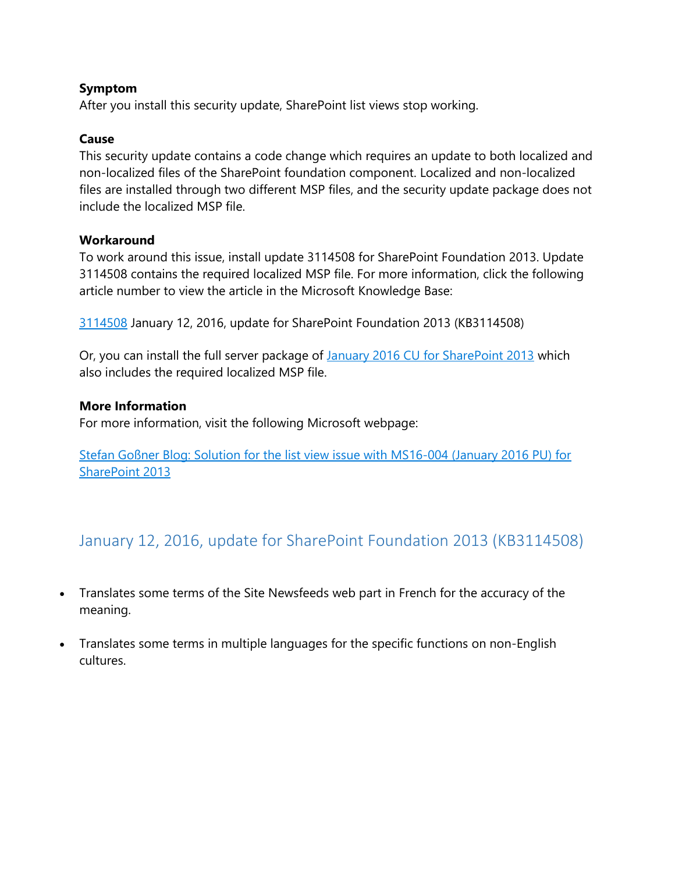#### **Symptom**

After you install this security update, SharePoint list views stop working.

#### **Cause**

This security update contains a code change which requires an update to both localized and non-localized files of the SharePoint foundation component. Localized and non-localized files are installed through two different MSP files, and the security update package does not include the localized MSP file.

#### **Workaround**

To work around this issue, install update 3114508 for SharePoint Foundation 2013. Update 3114508 contains the required localized MSP file. For more information, click the following article number to view the article in the Microsoft Knowledge Base:

[3114508](https://support.microsoft.com/en-us/kb/3114508) January 12, 2016, update for SharePoint Foundation 2013 (KB3114508)

Or, you can install the full server package of [January 2016 CU for SharePoint 2013](https://blogs.technet.microsoft.com/stefan_gossner/2016/01/12/january-2016-cu-for-sharepoint-2013-product-family-is-available-for-download/) which also includes the required localized MSP file.

#### **More Information**

For more information, visit the following Microsoft webpage:

[Stefan Goßner Blog: Solution for the list view issue with MS16-004 \(January 2016 PU\) for](https://blogs.technet.microsoft.com/stefan_gossner/2016/01/15/solution-for-the-list-view-issue-with-ms16-004-january-2016-pu-for-sharepoint-2013/)  [SharePoint 2013](https://blogs.technet.microsoft.com/stefan_gossner/2016/01/15/solution-for-the-list-view-issue-with-ms16-004-january-2016-pu-for-sharepoint-2013/)

## <span id="page-4-0"></span>January 12, 2016, update for SharePoint Foundation 2013 (KB3114508)

- Translates some terms of the Site Newsfeeds web part in French for the accuracy of the meaning.
- Translates some terms in multiple languages for the specific functions on non-English cultures.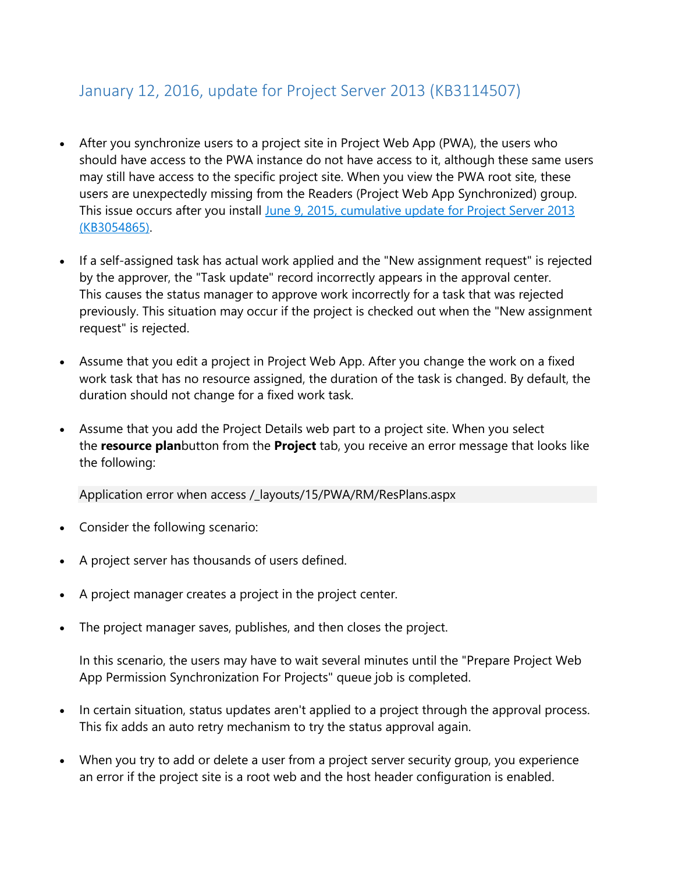### <span id="page-5-0"></span>January 12, 2016, update for Project Server 2013 (KB3114507)

- After you synchronize users to a project site in Project Web App (PWA), the users who should have access to the PWA instance do not have access to it, although these same users may still have access to the specific project site. When you view the PWA root site, these users are unexpectedly missing from the Readers (Project Web App Synchronized) group. This issue occurs after you install [June 9, 2015, cumulative update for Project Server 2013](http://support.microsoft.com/kb/3054865)  [\(KB3054865\).](http://support.microsoft.com/kb/3054865)
- If a self-assigned task has actual work applied and the "New assignment request" is rejected by the approver, the "Task update" record incorrectly appears in the approval center. This causes the status manager to approve work incorrectly for a task that was rejected previously. This situation may occur if the project is checked out when the "New assignment request" is rejected.
- Assume that you edit a project in Project Web App. After you change the work on a fixed work task that has no resource assigned, the duration of the task is changed. By default, the duration should not change for a fixed work task.
- Assume that you add the Project Details web part to a project site. When you select the **resource plan**button from the **Project** tab, you receive an error message that looks like the following:

Application error when access /\_layouts/15/PWA/RM/ResPlans.aspx

- Consider the following scenario:
- A project server has thousands of users defined.
- A project manager creates a project in the project center.
- The project manager saves, publishes, and then closes the project.

In this scenario, the users may have to wait several minutes until the "Prepare Project Web App Permission Synchronization For Projects" queue job is completed.

- In certain situation, status updates aren't applied to a project through the approval process. This fix adds an auto retry mechanism to try the status approval again.
- When you try to add or delete a user from a project server security group, you experience an error if the project site is a root web and the host header configuration is enabled.